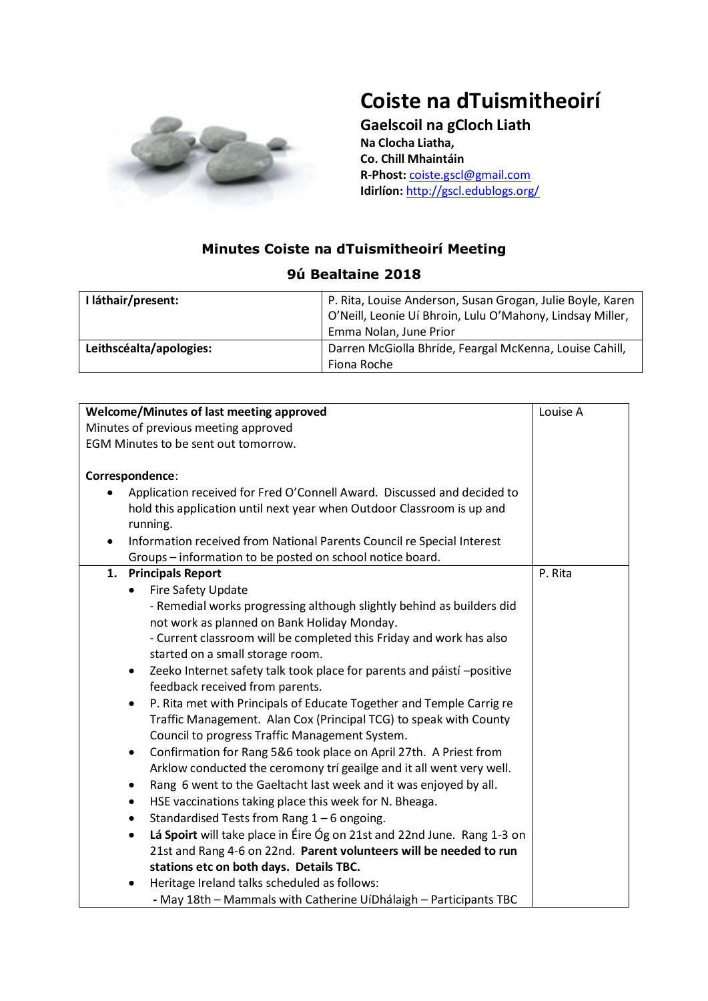

## **Coiste na dTuismitheoirí**

**Gaelscoil na gCloch Liath Na Clocha Liatha, Co. Chill Mhaintáin R-Phost:** [coiste.gscl@gmail.com](mailto:coiste.gscl@gmail.com) **Idirlíon:** <http://gscl.edublogs.org/>

## **Minutes Coiste na dTuismitheoirí Meeting 9ú Bealtaine 2018**

| I láthair/present:      | P. Rita, Louise Anderson, Susan Grogan, Julie Boyle, Karen<br>O'Neill, Leonie Uí Bhroin, Lulu O'Mahony, Lindsay Miller,<br>Emma Nolan, June Prior |
|-------------------------|---------------------------------------------------------------------------------------------------------------------------------------------------|
| Leithscéalta/apologies: | Darren McGiolla Bhríde, Feargal McKenna, Louise Cahill,<br>Fiona Roche                                                                            |

| <b>Welcome/Minutes of last meeting approved</b>                                                                                                                                                                                                                                                                                                                                                                                                                                                                                                                                                                                                                                                                                                                                                                                                                                                                                                                                                                                                                                                                                                                                                                                                                            | Louise A |
|----------------------------------------------------------------------------------------------------------------------------------------------------------------------------------------------------------------------------------------------------------------------------------------------------------------------------------------------------------------------------------------------------------------------------------------------------------------------------------------------------------------------------------------------------------------------------------------------------------------------------------------------------------------------------------------------------------------------------------------------------------------------------------------------------------------------------------------------------------------------------------------------------------------------------------------------------------------------------------------------------------------------------------------------------------------------------------------------------------------------------------------------------------------------------------------------------------------------------------------------------------------------------|----------|
| Minutes of previous meeting approved                                                                                                                                                                                                                                                                                                                                                                                                                                                                                                                                                                                                                                                                                                                                                                                                                                                                                                                                                                                                                                                                                                                                                                                                                                       |          |
| EGM Minutes to be sent out tomorrow.                                                                                                                                                                                                                                                                                                                                                                                                                                                                                                                                                                                                                                                                                                                                                                                                                                                                                                                                                                                                                                                                                                                                                                                                                                       |          |
| Correspondence:                                                                                                                                                                                                                                                                                                                                                                                                                                                                                                                                                                                                                                                                                                                                                                                                                                                                                                                                                                                                                                                                                                                                                                                                                                                            |          |
| Application received for Fred O'Connell Award. Discussed and decided to<br>hold this application until next year when Outdoor Classroom is up and<br>running.<br>Information received from National Parents Council re Special Interest<br>Groups - information to be posted on school notice board.                                                                                                                                                                                                                                                                                                                                                                                                                                                                                                                                                                                                                                                                                                                                                                                                                                                                                                                                                                       |          |
| <b>Principals Report</b><br>1.<br>Fire Safety Update<br>$\bullet$<br>- Remedial works progressing although slightly behind as builders did<br>not work as planned on Bank Holiday Monday.<br>- Current classroom will be completed this Friday and work has also<br>started on a small storage room.<br>Zeeko Internet safety talk took place for parents and páistí -positive<br>$\bullet$<br>feedback received from parents.<br>P. Rita met with Principals of Educate Together and Temple Carrig re<br>$\bullet$<br>Traffic Management. Alan Cox (Principal TCG) to speak with County<br>Council to progress Traffic Management System.<br>Confirmation for Rang 5&6 took place on April 27th. A Priest from<br>$\bullet$<br>Arklow conducted the ceromony trí geailge and it all went very well.<br>Rang 6 went to the Gaeltacht last week and it was enjoyed by all.<br>$\bullet$<br>HSE vaccinations taking place this week for N. Bheaga.<br>٠<br>Standardised Tests from Rang 1 - 6 ongoing.<br>$\bullet$<br>Lá Spoirt will take place in Éire Óg on 21st and 22nd June. Rang 1-3 on<br>$\bullet$<br>21st and Rang 4-6 on 22nd. Parent volunteers will be needed to run<br>stations etc on both days. Details TBC.<br>Heritage Ireland talks scheduled as follows: | P. Rita  |
| - May 18th - Mammals with Catherine UíDhálaigh - Participants TBC                                                                                                                                                                                                                                                                                                                                                                                                                                                                                                                                                                                                                                                                                                                                                                                                                                                                                                                                                                                                                                                                                                                                                                                                          |          |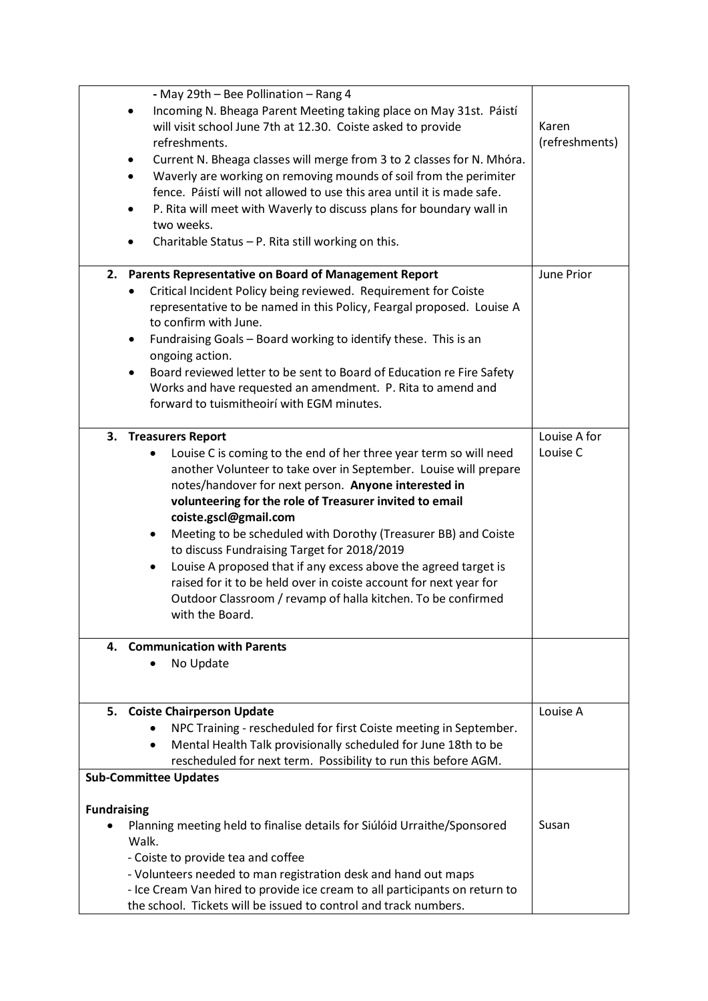| - May 29th - Bee Pollination - Rang 4<br>Incoming N. Bheaga Parent Meeting taking place on May 31st. Páistí<br>٠<br>will visit school June 7th at 12.30. Coiste asked to provide<br>refreshments.<br>Current N. Bheaga classes will merge from 3 to 2 classes for N. Mhóra.<br>$\bullet$<br>Waverly are working on removing mounds of soil from the perimiter<br>٠<br>fence. Páistí will not allowed to use this area until it is made safe.<br>P. Rita will meet with Waverly to discuss plans for boundary wall in<br>$\bullet$<br>two weeks.<br>Charitable Status - P. Rita still working on this.                                                                                                    | Karen<br>(refreshments)  |
|----------------------------------------------------------------------------------------------------------------------------------------------------------------------------------------------------------------------------------------------------------------------------------------------------------------------------------------------------------------------------------------------------------------------------------------------------------------------------------------------------------------------------------------------------------------------------------------------------------------------------------------------------------------------------------------------------------|--------------------------|
| 2. Parents Representative on Board of Management Report<br>Critical Incident Policy being reviewed. Requirement for Coiste<br>$\bullet$<br>representative to be named in this Policy, Feargal proposed. Louise A<br>to confirm with June.<br>Fundraising Goals - Board working to identify these. This is an<br>٠<br>ongoing action.<br>Board reviewed letter to be sent to Board of Education re Fire Safety<br>$\bullet$<br>Works and have requested an amendment. P. Rita to amend and<br>forward to tuismitheoirí with EGM minutes.                                                                                                                                                                  | June Prior               |
| 3. Treasurers Report<br>Louise C is coming to the end of her three year term so will need<br>another Volunteer to take over in September. Louise will prepare<br>notes/handover for next person. Anyone interested in<br>volunteering for the role of Treasurer invited to email<br>coiste.gscl@gmail.com<br>Meeting to be scheduled with Dorothy (Treasurer BB) and Coiste<br>٠<br>to discuss Fundraising Target for 2018/2019<br>Louise A proposed that if any excess above the agreed target is<br>$\bullet$<br>raised for it to be held over in coiste account for next year for<br>Outdoor Classroom / revamp of halla kitchen. To be confirmed<br>with the Board.<br>4. Communication with Parents | Louise A for<br>Louise C |
| No Update                                                                                                                                                                                                                                                                                                                                                                                                                                                                                                                                                                                                                                                                                                |                          |
| 5. Coiste Chairperson Update<br>NPC Training - rescheduled for first Coiste meeting in September.<br>Mental Health Talk provisionally scheduled for June 18th to be<br>$\bullet$<br>rescheduled for next term. Possibility to run this before AGM.                                                                                                                                                                                                                                                                                                                                                                                                                                                       | Louise A                 |
| <b>Sub-Committee Updates</b><br><b>Fundraising</b><br>Planning meeting held to finalise details for Siúlóid Urraithe/Sponsored<br>Walk.<br>- Coiste to provide tea and coffee<br>- Volunteers needed to man registration desk and hand out maps<br>- Ice Cream Van hired to provide ice cream to all participants on return to<br>the school. Tickets will be issued to control and track numbers.                                                                                                                                                                                                                                                                                                       | Susan                    |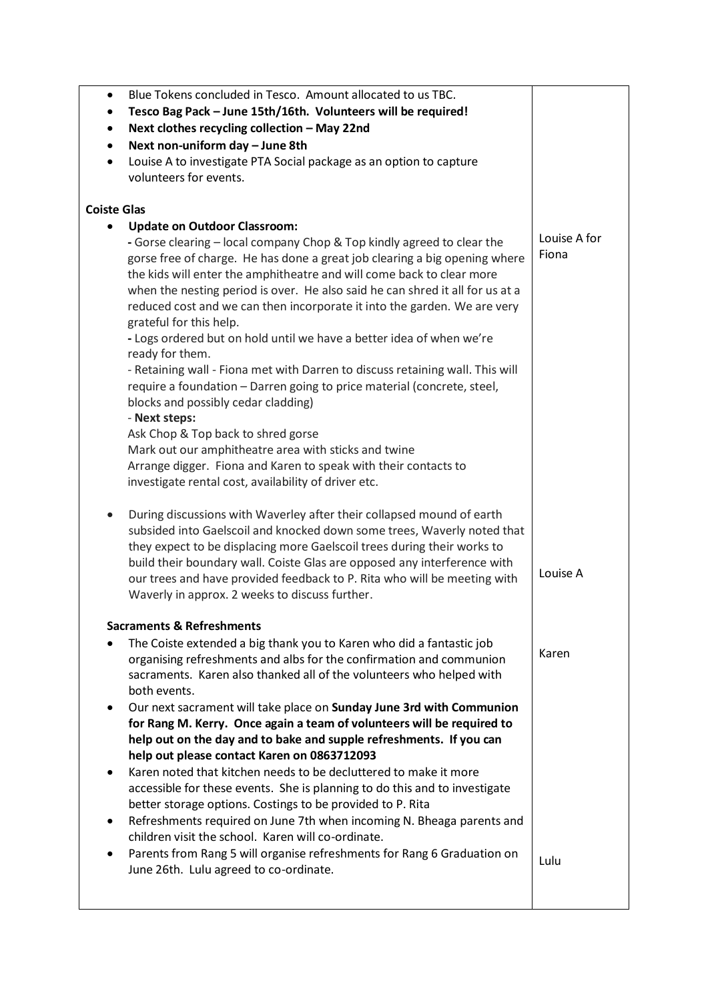| Blue Tokens concluded in Tesco. Amount allocated to us TBC.<br>$\bullet$                                                                                                                                                                                                                                                                                                                                                                           |                       |
|----------------------------------------------------------------------------------------------------------------------------------------------------------------------------------------------------------------------------------------------------------------------------------------------------------------------------------------------------------------------------------------------------------------------------------------------------|-----------------------|
| Tesco Bag Pack - June 15th/16th. Volunteers will be required!<br>٠                                                                                                                                                                                                                                                                                                                                                                                 |                       |
| Next clothes recycling collection - May 22nd<br>٠                                                                                                                                                                                                                                                                                                                                                                                                  |                       |
| Next non-uniform day - June 8th<br>$\bullet$                                                                                                                                                                                                                                                                                                                                                                                                       |                       |
| Louise A to investigate PTA Social package as an option to capture<br>$\bullet$                                                                                                                                                                                                                                                                                                                                                                    |                       |
| volunteers for events.                                                                                                                                                                                                                                                                                                                                                                                                                             |                       |
| <b>Coiste Glas</b>                                                                                                                                                                                                                                                                                                                                                                                                                                 |                       |
| <b>Update on Outdoor Classroom:</b><br>$\bullet$                                                                                                                                                                                                                                                                                                                                                                                                   |                       |
| - Gorse clearing - local company Chop & Top kindly agreed to clear the<br>gorse free of charge. He has done a great job clearing a big opening where<br>the kids will enter the amphitheatre and will come back to clear more<br>when the nesting period is over. He also said he can shred it all for us at a<br>reduced cost and we can then incorporate it into the garden. We are very<br>grateful for this help.                              | Louise A for<br>Fiona |
| - Logs ordered but on hold until we have a better idea of when we're                                                                                                                                                                                                                                                                                                                                                                               |                       |
| ready for them.<br>- Retaining wall - Fiona met with Darren to discuss retaining wall. This will<br>require a foundation - Darren going to price material (concrete, steel,<br>blocks and possibly cedar cladding)<br>- Next steps:                                                                                                                                                                                                                |                       |
| Ask Chop & Top back to shred gorse                                                                                                                                                                                                                                                                                                                                                                                                                 |                       |
| Mark out our amphitheatre area with sticks and twine                                                                                                                                                                                                                                                                                                                                                                                               |                       |
| Arrange digger. Fiona and Karen to speak with their contacts to<br>investigate rental cost, availability of driver etc.                                                                                                                                                                                                                                                                                                                            |                       |
| During discussions with Waverley after their collapsed mound of earth<br>$\bullet$<br>subsided into Gaelscoil and knocked down some trees, Waverly noted that<br>they expect to be displacing more Gaelscoil trees during their works to<br>build their boundary wall. Coiste Glas are opposed any interference with<br>our trees and have provided feedback to P. Rita who will be meeting with<br>Waverly in approx. 2 weeks to discuss further. | Louise A              |
| <b>Sacraments &amp; Refreshments</b>                                                                                                                                                                                                                                                                                                                                                                                                               |                       |
| The Coiste extended a big thank you to Karen who did a fantastic job<br>organising refreshments and albs for the confirmation and communion<br>sacraments. Karen also thanked all of the volunteers who helped with<br>both events.                                                                                                                                                                                                                | Karen                 |
| Our next sacrament will take place on Sunday June 3rd with Communion<br>$\bullet$<br>for Rang M. Kerry. Once again a team of volunteers will be required to<br>help out on the day and to bake and supple refreshments. If you can                                                                                                                                                                                                                 |                       |
| help out please contact Karen on 0863712093                                                                                                                                                                                                                                                                                                                                                                                                        |                       |
| Karen noted that kitchen needs to be decluttered to make it more<br>$\bullet$<br>accessible for these events. She is planning to do this and to investigate                                                                                                                                                                                                                                                                                        |                       |
| better storage options. Costings to be provided to P. Rita<br>Refreshments required on June 7th when incoming N. Bheaga parents and<br>$\bullet$                                                                                                                                                                                                                                                                                                   |                       |
| children visit the school. Karen will co-ordinate.                                                                                                                                                                                                                                                                                                                                                                                                 |                       |
| Parents from Rang 5 will organise refreshments for Rang 6 Graduation on<br>$\bullet$<br>June 26th. Lulu agreed to co-ordinate.                                                                                                                                                                                                                                                                                                                     | Lulu                  |
|                                                                                                                                                                                                                                                                                                                                                                                                                                                    |                       |